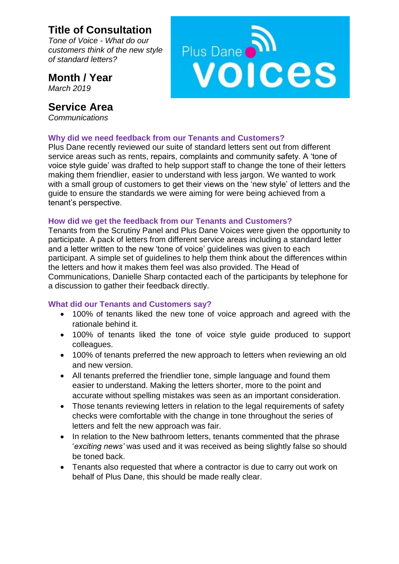## **Title of Consultation**

*Tone of Voice - What do our customers think of the new style of standard letters?*

**Month / Year** *March 2019*

### **Service Area**

*Communications*



#### **Why did we need feedback from our Tenants and Customers?**

Plus Dane recently reviewed our suite of standard letters sent out from different service areas such as rents, repairs, complaints and community safety. A 'tone of voice style guide' was drafted to help support staff to change the tone of their letters making them friendlier, easier to understand with less jargon. We wanted to work with a small group of customers to get their views on the 'new style' of letters and the guide to ensure the standards we were aiming for were being achieved from a tenant's perspective.

#### **How did we get the feedback from our Tenants and Customers?**

Tenants from the Scrutiny Panel and Plus Dane Voices were given the opportunity to participate. A pack of letters from different service areas including a standard letter and a letter written to the new 'tone of voice' guidelines was given to each participant. A simple set of guidelines to help them think about the differences within the letters and how it makes them feel was also provided. The Head of Communications, Danielle Sharp contacted each of the participants by telephone for a discussion to gather their feedback directly.

#### **What did our Tenants and Customers say?**

- 100% of tenants liked the new tone of voice approach and agreed with the rationale behind it.
- 100% of tenants liked the tone of voice style guide produced to support colleagues.
- 100% of tenants preferred the new approach to letters when reviewing an old and new version.
- All tenants preferred the friendlier tone, simple language and found them easier to understand. Making the letters shorter, more to the point and accurate without spelling mistakes was seen as an important consideration.
- Those tenants reviewing letters in relation to the legal requirements of safety checks were comfortable with the change in tone throughout the series of letters and felt the new approach was fair.
- In relation to the New bathroom letters, tenants commented that the phrase '*exciting news'* was used and it was received as being slightly false so should be toned back.
- Tenants also requested that where a contractor is due to carry out work on behalf of Plus Dane, this should be made really clear.